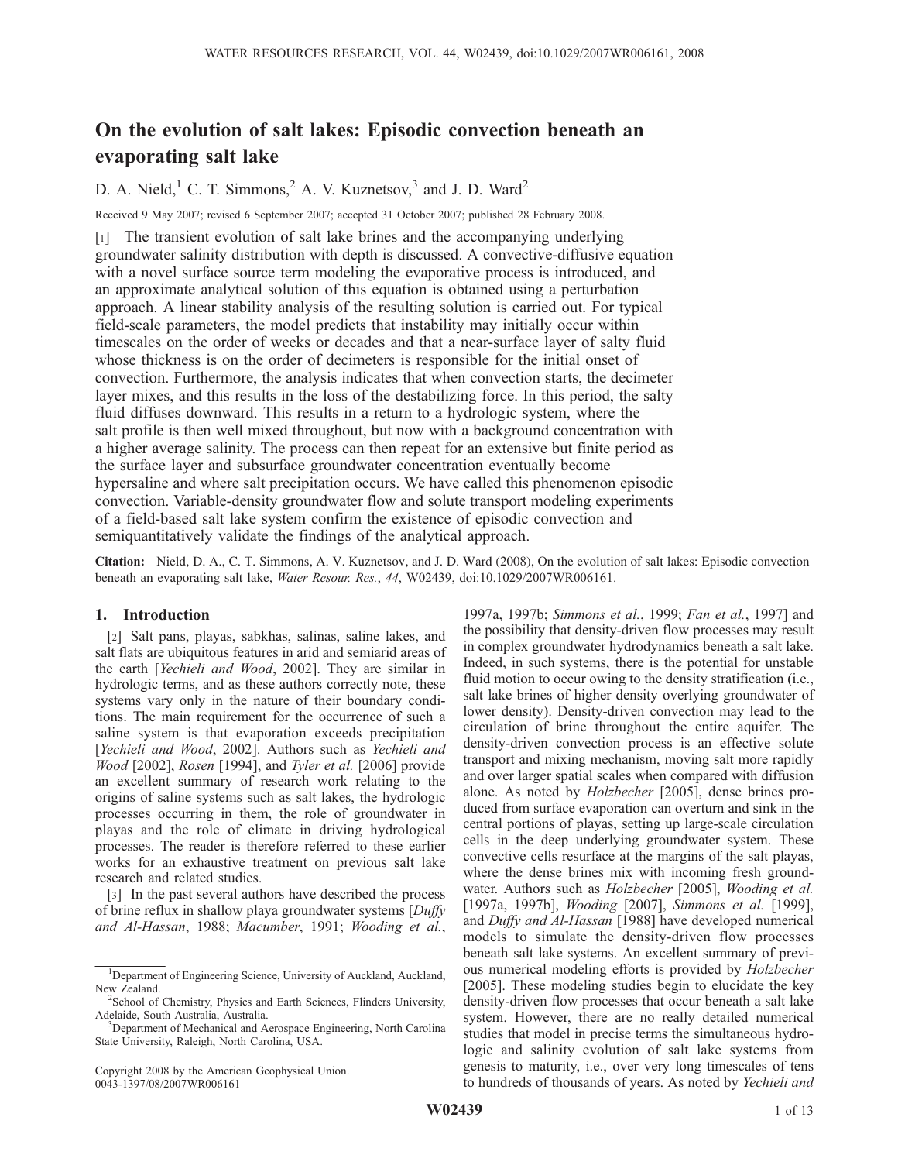# On the evolution of salt lakes: Episodic convection beneath an evaporating salt lake

D. A. Nield,<sup>1</sup> C. T. Simmons,<sup>2</sup> A. V. Kuznetsov,<sup>3</sup> and J. D. Ward<sup>2</sup>

Received 9 May 2007; revised 6 September 2007; accepted 31 October 2007; published 28 February 2008.

[1] The transient evolution of salt lake brines and the accompanying underlying groundwater salinity distribution with depth is discussed. A convective-diffusive equation with a novel surface source term modeling the evaporative process is introduced, and an approximate analytical solution of this equation is obtained using a perturbation approach. A linear stability analysis of the resulting solution is carried out. For typical field-scale parameters, the model predicts that instability may initially occur within timescales on the order of weeks or decades and that a near-surface layer of salty fluid whose thickness is on the order of decimeters is responsible for the initial onset of convection. Furthermore, the analysis indicates that when convection starts, the decimeter layer mixes, and this results in the loss of the destabilizing force. In this period, the salty fluid diffuses downward. This results in a return to a hydrologic system, where the salt profile is then well mixed throughout, but now with a background concentration with a higher average salinity. The process can then repeat for an extensive but finite period as the surface layer and subsurface groundwater concentration eventually become hypersaline and where salt precipitation occurs. We have called this phenomenon episodic convection. Variable-density groundwater flow and solute transport modeling experiments of a field-based salt lake system confirm the existence of episodic convection and semiquantitatively validate the findings of the analytical approach.

Citation: Nield, D. A., C. T. Simmons, A. V. Kuznetsov, and J. D. Ward (2008), On the evolution of salt lakes: Episodic convection beneath an evaporating salt lake, Water Resour. Res., 44, W02439, doi:10.1029/2007WR006161.

## 1. Introduction

[2] Salt pans, playas, sabkhas, salinas, saline lakes, and salt flats are ubiquitous features in arid and semiarid areas of the earth [Yechieli and Wood, 2002]. They are similar in hydrologic terms, and as these authors correctly note, these systems vary only in the nature of their boundary conditions. The main requirement for the occurrence of such a saline system is that evaporation exceeds precipitation [Yechieli and Wood, 2002]. Authors such as Yechieli and Wood [2002], Rosen [1994], and Tyler et al. [2006] provide an excellent summary of research work relating to the origins of saline systems such as salt lakes, the hydrologic processes occurring in them, the role of groundwater in playas and the role of climate in driving hydrological processes. The reader is therefore referred to these earlier works for an exhaustive treatment on previous salt lake research and related studies.

[3] In the past several authors have described the process of brine reflux in shallow playa groundwater systems  $[Duffv]$ and Al-Hassan, 1988; Macumber, 1991; Wooding et al., 1997a, 1997b; Simmons et al., 1999; Fan et al., 1997] and the possibility that density-driven flow processes may result in complex groundwater hydrodynamics beneath a salt lake. Indeed, in such systems, there is the potential for unstable fluid motion to occur owing to the density stratification (i.e., salt lake brines of higher density overlying groundwater of lower density). Density-driven convection may lead to the circulation of brine throughout the entire aquifer. The density-driven convection process is an effective solute transport and mixing mechanism, moving salt more rapidly and over larger spatial scales when compared with diffusion alone. As noted by Holzbecher [2005], dense brines produced from surface evaporation can overturn and sink in the central portions of playas, setting up large-scale circulation cells in the deep underlying groundwater system. These convective cells resurface at the margins of the salt playas, where the dense brines mix with incoming fresh groundwater. Authors such as Holzbecher [2005], Wooding et al. [1997a, 1997b], Wooding [2007], Simmons et al. [1999], and Duffy and Al-Hassan [1988] have developed numerical models to simulate the density-driven flow processes beneath salt lake systems. An excellent summary of previous numerical modeling efforts is provided by Holzbecher [2005]. These modeling studies begin to elucidate the key density-driven flow processes that occur beneath a salt lake system. However, there are no really detailed numerical studies that model in precise terms the simultaneous hydrologic and salinity evolution of salt lake systems from genesis to maturity, i.e., over very long timescales of tens to hundreds of thousands of years. As noted by Yechieli and

<sup>&</sup>lt;sup>1</sup>Department of Engineering Science, University of Auckland, Auckland, New Zealand.

<sup>&</sup>lt;sup>2</sup>School of Chemistry, Physics and Earth Sciences, Flinders University, Adelaide, South Australia, Australia. <sup>3</sup>

<sup>&</sup>lt;sup>3</sup>Department of Mechanical and Aerospace Engineering, North Carolina State University, Raleigh, North Carolina, USA.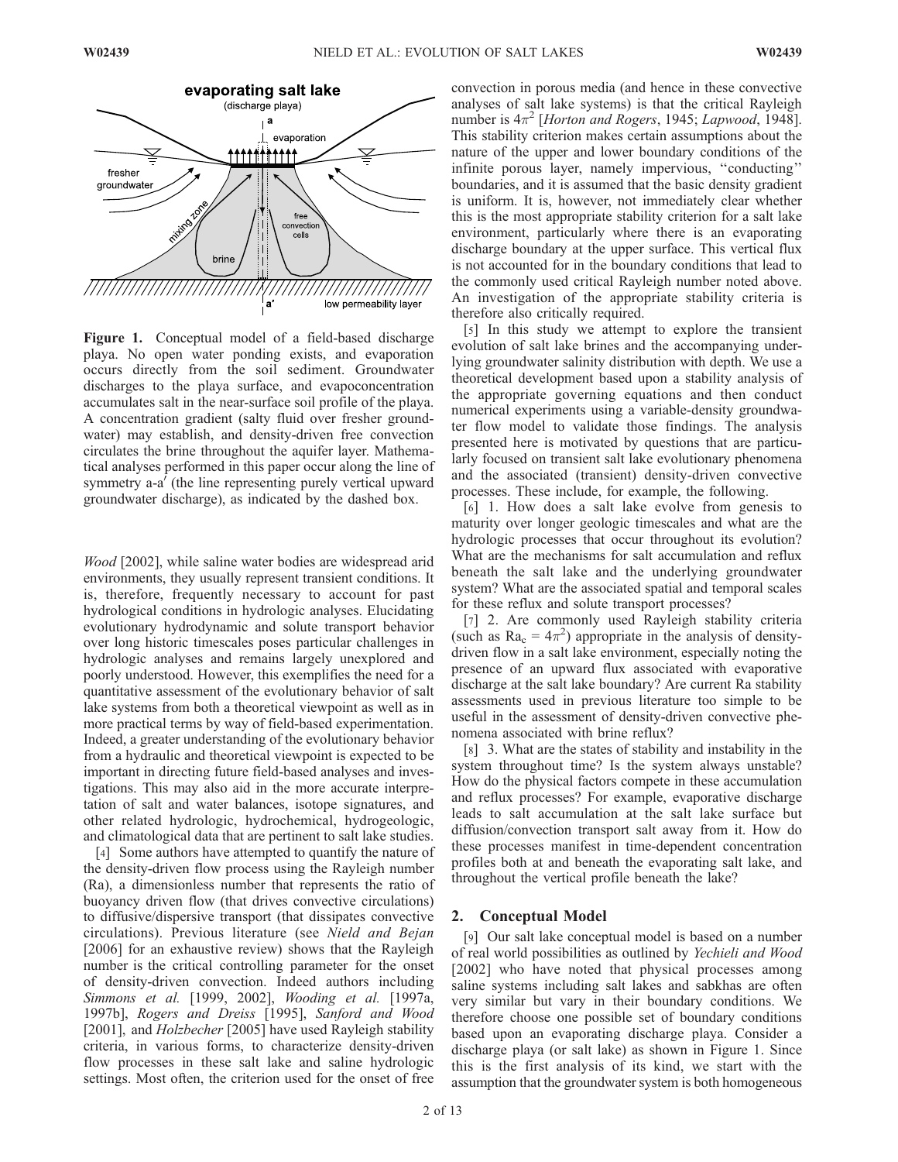

Figure 1. Conceptual model of a field-based discharge playa. No open water ponding exists, and evaporation occurs directly from the soil sediment. Groundwater discharges to the playa surface, and evapoconcentration accumulates salt in the near-surface soil profile of the playa. A concentration gradient (salty fluid over fresher groundwater) may establish, and density-driven free convection circulates the brine throughout the aquifer layer. Mathematical analyses performed in this paper occur along the line of symmetry a-a' (the line representing purely vertical upward groundwater discharge), as indicated by the dashed box.

Wood [2002], while saline water bodies are widespread arid environments, they usually represent transient conditions. It is, therefore, frequently necessary to account for past hydrological conditions in hydrologic analyses. Elucidating evolutionary hydrodynamic and solute transport behavior over long historic timescales poses particular challenges in hydrologic analyses and remains largely unexplored and poorly understood. However, this exemplifies the need for a quantitative assessment of the evolutionary behavior of salt lake systems from both a theoretical viewpoint as well as in more practical terms by way of field-based experimentation. Indeed, a greater understanding of the evolutionary behavior from a hydraulic and theoretical viewpoint is expected to be important in directing future field-based analyses and investigations. This may also aid in the more accurate interpretation of salt and water balances, isotope signatures, and other related hydrologic, hydrochemical, hydrogeologic, and climatological data that are pertinent to salt lake studies.

[4] Some authors have attempted to quantify the nature of the density-driven flow process using the Rayleigh number (Ra), a dimensionless number that represents the ratio of buoyancy driven flow (that drives convective circulations) to diffusive/dispersive transport (that dissipates convective circulations). Previous literature (see Nield and Bejan [2006] for an exhaustive review) shows that the Rayleigh number is the critical controlling parameter for the onset of density-driven convection. Indeed authors including Simmons et al. [1999, 2002], Wooding et al. [1997a, 1997b], Rogers and Dreiss [1995], Sanford and Wood [2001], and *Holzbecher* [2005] have used Rayleigh stability criteria, in various forms, to characterize density-driven flow processes in these salt lake and saline hydrologic settings. Most often, the criterion used for the onset of free

convection in porous media (and hence in these convective analyses of salt lake systems) is that the critical Rayleigh number is  $4\pi^2$  [Horton and Rogers, 1945; Lapwood, 1948]. This stability criterion makes certain assumptions about the nature of the upper and lower boundary conditions of the infinite porous layer, namely impervious, ''conducting'' boundaries, and it is assumed that the basic density gradient is uniform. It is, however, not immediately clear whether this is the most appropriate stability criterion for a salt lake environment, particularly where there is an evaporating discharge boundary at the upper surface. This vertical flux is not accounted for in the boundary conditions that lead to the commonly used critical Rayleigh number noted above. An investigation of the appropriate stability criteria is therefore also critically required.

[5] In this study we attempt to explore the transient evolution of salt lake brines and the accompanying underlying groundwater salinity distribution with depth. We use a theoretical development based upon a stability analysis of the appropriate governing equations and then conduct numerical experiments using a variable-density groundwater flow model to validate those findings. The analysis presented here is motivated by questions that are particularly focused on transient salt lake evolutionary phenomena and the associated (transient) density-driven convective processes. These include, for example, the following.

[6] 1. How does a salt lake evolve from genesis to maturity over longer geologic timescales and what are the hydrologic processes that occur throughout its evolution? What are the mechanisms for salt accumulation and reflux beneath the salt lake and the underlying groundwater system? What are the associated spatial and temporal scales for these reflux and solute transport processes?

[7] 2. Are commonly used Rayleigh stability criteria (such as  $Ra_c = 4\pi^2$ ) appropriate in the analysis of densitydriven flow in a salt lake environment, especially noting the presence of an upward flux associated with evaporative discharge at the salt lake boundary? Are current Ra stability assessments used in previous literature too simple to be useful in the assessment of density-driven convective phenomena associated with brine reflux?

[8] 3. What are the states of stability and instability in the system throughout time? Is the system always unstable? How do the physical factors compete in these accumulation and reflux processes? For example, evaporative discharge leads to salt accumulation at the salt lake surface but diffusion/convection transport salt away from it. How do these processes manifest in time-dependent concentration profiles both at and beneath the evaporating salt lake, and throughout the vertical profile beneath the lake?

## 2. Conceptual Model

[9] Our salt lake conceptual model is based on a number of real world possibilities as outlined by Yechieli and Wood [2002] who have noted that physical processes among saline systems including salt lakes and sabkhas are often very similar but vary in their boundary conditions. We therefore choose one possible set of boundary conditions based upon an evaporating discharge playa. Consider a discharge playa (or salt lake) as shown in Figure 1. Since this is the first analysis of its kind, we start with the assumption that the groundwater system is both homogeneous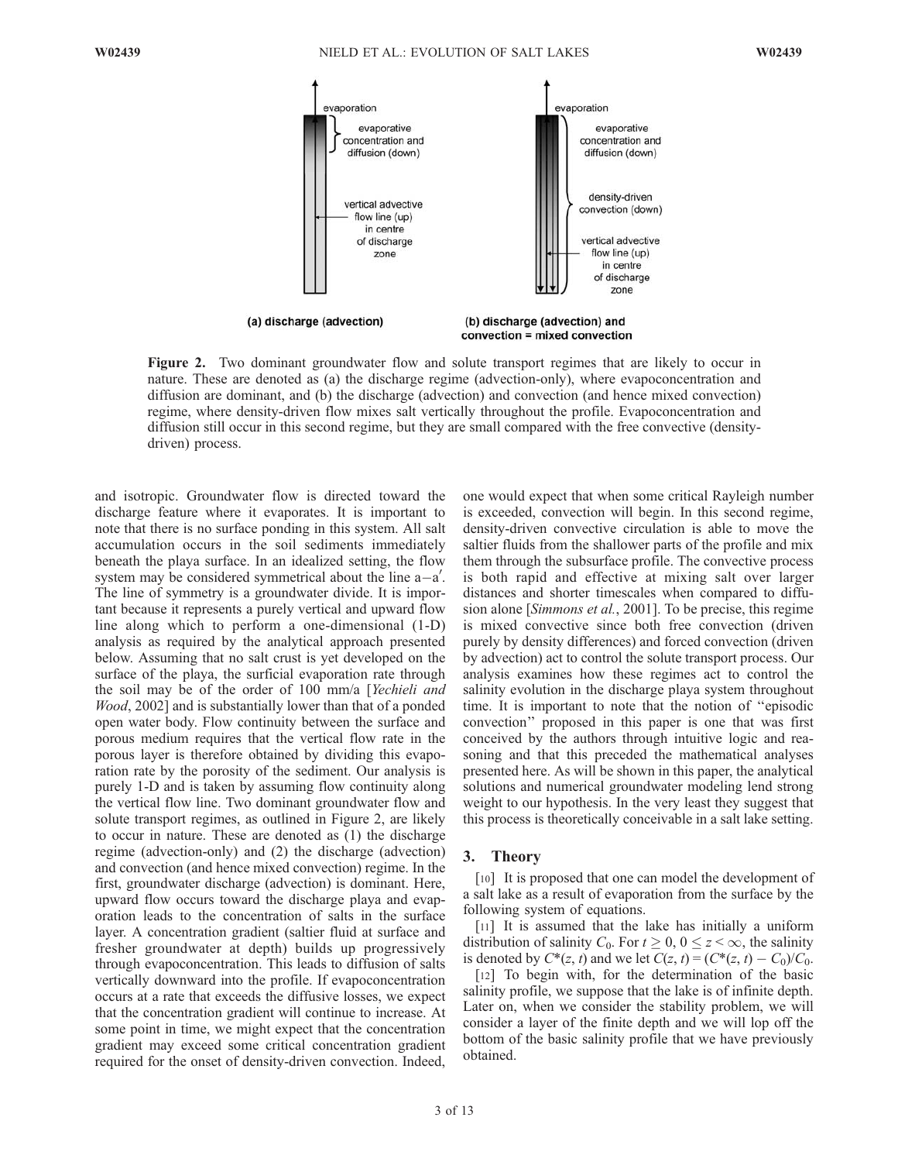

Figure 2. Two dominant groundwater flow and solute transport regimes that are likely to occur in nature. These are denoted as (a) the discharge regime (advection-only), where evapoconcentration and diffusion are dominant, and (b) the discharge (advection) and convection (and hence mixed convection) regime, where density-driven flow mixes salt vertically throughout the profile. Evapoconcentration and diffusion still occur in this second regime, but they are small compared with the free convective (densitydriven) process.

and isotropic. Groundwater flow is directed toward the discharge feature where it evaporates. It is important to note that there is no surface ponding in this system. All salt accumulation occurs in the soil sediments immediately beneath the playa surface. In an idealized setting, the flow system may be considered symmetrical about the line  $a-a'$ . The line of symmetry is a groundwater divide. It is important because it represents a purely vertical and upward flow line along which to perform a one-dimensional (1-D) analysis as required by the analytical approach presented below. Assuming that no salt crust is yet developed on the surface of the playa, the surficial evaporation rate through the soil may be of the order of 100 mm/a [Yechieli and Wood, 2002] and is substantially lower than that of a ponded open water body. Flow continuity between the surface and porous medium requires that the vertical flow rate in the porous layer is therefore obtained by dividing this evaporation rate by the porosity of the sediment. Our analysis is purely 1-D and is taken by assuming flow continuity along the vertical flow line. Two dominant groundwater flow and solute transport regimes, as outlined in Figure 2, are likely to occur in nature. These are denoted as (1) the discharge regime (advection-only) and (2) the discharge (advection) and convection (and hence mixed convection) regime. In the first, groundwater discharge (advection) is dominant. Here, upward flow occurs toward the discharge playa and evaporation leads to the concentration of salts in the surface layer. A concentration gradient (saltier fluid at surface and fresher groundwater at depth) builds up progressively through evapoconcentration. This leads to diffusion of salts vertically downward into the profile. If evapoconcentration occurs at a rate that exceeds the diffusive losses, we expect that the concentration gradient will continue to increase. At some point in time, we might expect that the concentration gradient may exceed some critical concentration gradient required for the onset of density-driven convection. Indeed,

one would expect that when some critical Rayleigh number is exceeded, convection will begin. In this second regime, density-driven convective circulation is able to move the saltier fluids from the shallower parts of the profile and mix them through the subsurface profile. The convective process is both rapid and effective at mixing salt over larger distances and shorter timescales when compared to diffusion alone [Simmons et al., 2001]. To be precise, this regime is mixed convective since both free convection (driven purely by density differences) and forced convection (driven by advection) act to control the solute transport process. Our analysis examines how these regimes act to control the salinity evolution in the discharge playa system throughout time. It is important to note that the notion of ''episodic convection'' proposed in this paper is one that was first conceived by the authors through intuitive logic and reasoning and that this preceded the mathematical analyses presented here. As will be shown in this paper, the analytical solutions and numerical groundwater modeling lend strong weight to our hypothesis. In the very least they suggest that this process is theoretically conceivable in a salt lake setting.

## 3. Theory

[10] It is proposed that one can model the development of a salt lake as a result of evaporation from the surface by the following system of equations.

[11] It is assumed that the lake has initially a uniform distribution of salinity  $C_0$ . For  $t \geq 0$ ,  $0 \leq z < \infty$ , the salinity is denoted by  $C^*(z, t)$  and we let  $C(z, t) = (C^*(z, t) - C_0)/C_0$ .

[12] To begin with, for the determination of the basic salinity profile, we suppose that the lake is of infinite depth. Later on, when we consider the stability problem, we will consider a layer of the finite depth and we will lop off the bottom of the basic salinity profile that we have previously obtained.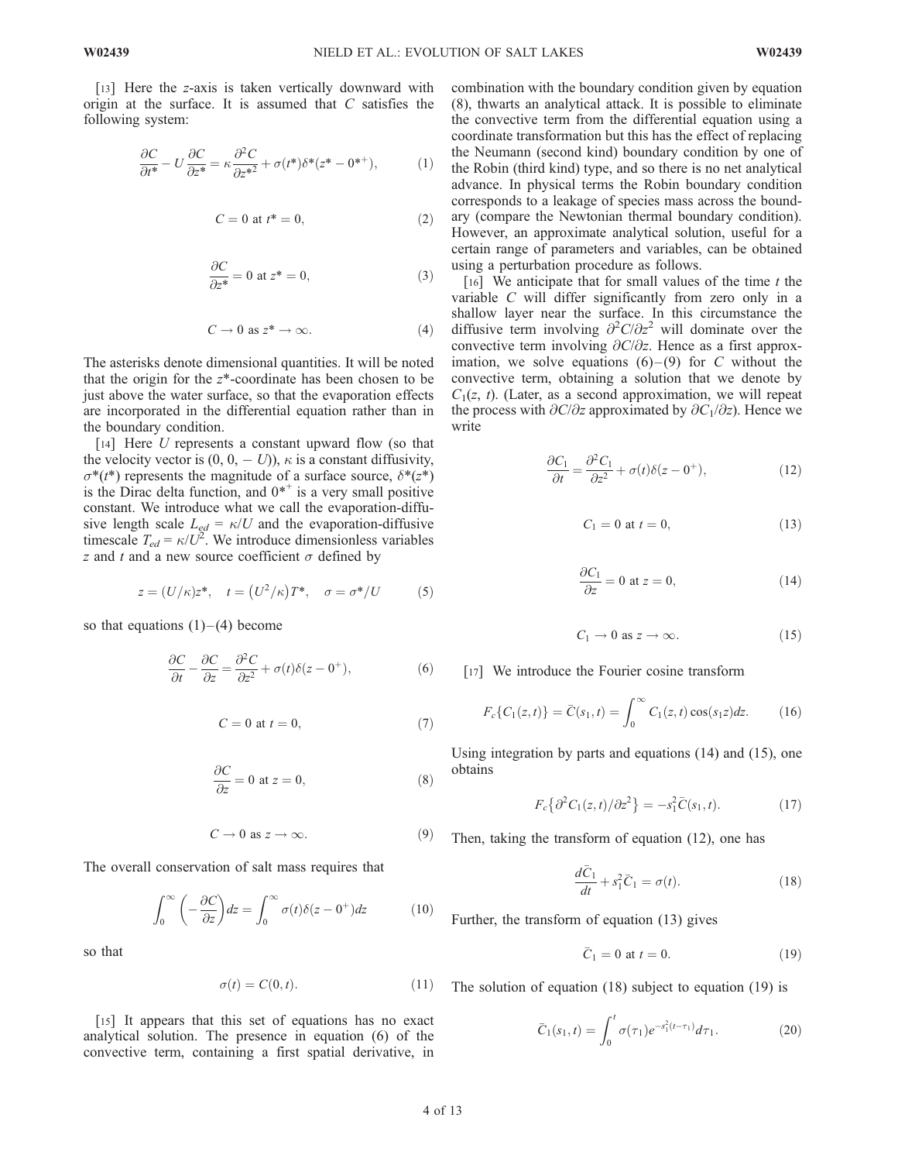[13] Here the z-axis is taken vertically downward with origin at the surface. It is assumed that C satisfies the following system:

$$
\frac{\partial C}{\partial t^*} - U \frac{\partial C}{\partial z^*} = \kappa \frac{\partial^2 C}{\partial z^{*2}} + \sigma(t^*) \delta^*(z^* - 0^{*+}),\tag{1}
$$

$$
C = 0 \t{at} t^* = 0,\t(2)
$$

$$
\frac{\partial C}{\partial z^*} = 0 \text{ at } z^* = 0,
$$
 (3)

$$
C \to 0 \text{ as } z^* \to \infty. \tag{4}
$$

The asterisks denote dimensional quantities. It will be noted that the origin for the  $z^*$ -coordinate has been chosen to be just above the water surface, so that the evaporation effects are incorporated in the differential equation rather than in the boundary condition.

[14] Here U represents a constant upward flow (so that the velocity vector is  $(0, 0, -U)$ ,  $\kappa$  is a constant diffusivity,  $\sigma^*(t^*)$  represents the magnitude of a surface source,  $\delta^*(z^*)$ is the Dirac delta function, and  $0^{*+}$  is a very small positive constant. We introduce what we call the evaporation-diffusive length scale  $L_{gd} = \kappa/U$  and the evaporation-diffusive timescale  $T_{ed} = \kappa / U^2$ . We introduce dimensionless variables z and t and a new source coefficient  $\sigma$  defined by

$$
z = (U/\kappa)z^*, \quad t = (U^2/\kappa)T^*, \quad \sigma = \sigma^*/U \tag{5}
$$

so that equations  $(1)$ – $(4)$  become

$$
\frac{\partial C}{\partial t} - \frac{\partial C}{\partial z} = \frac{\partial^2 C}{\partial z^2} + \sigma(t)\delta(z - 0^+),\tag{6}
$$

$$
C = 0 \t{at} t = 0,\t(7)
$$

$$
\frac{\partial C}{\partial z} = 0 \text{ at } z = 0,
$$
\n(8)

$$
C \to 0 \text{ as } z \to \infty. \tag{9}
$$

The overall conservation of salt mass requires that

$$
\int_0^\infty \left( -\frac{\partial C}{\partial z} \right) dz = \int_0^\infty \sigma(t) \delta(z - 0^+) dz \tag{10}
$$

so that

$$
\sigma(t) = C(0, t). \tag{11}
$$

[15] It appears that this set of equations has no exact analytical solution. The presence in equation (6) of the convective term, containing a first spatial derivative, in

combination with the boundary condition given by equation (8), thwarts an analytical attack. It is possible to eliminate the convective term from the differential equation using a coordinate transformation but this has the effect of replacing the Neumann (second kind) boundary condition by one of the Robin (third kind) type, and so there is no net analytical advance. In physical terms the Robin boundary condition corresponds to a leakage of species mass across the boundary (compare the Newtonian thermal boundary condition). However, an approximate analytical solution, useful for a certain range of parameters and variables, can be obtained using a perturbation procedure as follows.

[16] We anticipate that for small values of the time  $t$  the variable C will differ significantly from zero only in a shallow layer near the surface. In this circumstance the diffusive term involving  $\partial^2 C/\partial z^2$  will dominate over the convective term involving  $\partial C/\partial z$ . Hence as a first approximation, we solve equations  $(6)$  – (9) for C without the convective term, obtaining a solution that we denote by  $C_1(z, t)$ . (Later, as a second approximation, we will repeat the process with  $\partial C/\partial z$  approximated by  $\partial C_1/\partial z$ ). Hence we write

$$
\frac{\partial C_1}{\partial t} = \frac{\partial^2 C_1}{\partial z^2} + \sigma(t)\delta(z - 0^+),\tag{12}
$$

$$
C_1 = 0 \t{at} t = 0,\t(13)
$$

$$
\frac{\partial C_1}{\partial z} = 0 \text{ at } z = 0,
$$
 (14)

$$
C_1 \to 0 \text{ as } z \to \infty. \tag{15}
$$

#### [17] We introduce the Fourier cosine transform

$$
F_c\{C_1(z,t)\} = \bar{C}(s_1,t) = \int_0^\infty C_1(z,t)\cos(s_1z)dz.
$$
 (16)

Using integration by parts and equations (14) and (15), one obtains

$$
F_c\left\{\partial^2 C_1(z,t)/\partial z^2\right\} = -s_1^2 \bar{C}(s_1,t). \tag{17}
$$

Then, taking the transform of equation (12), one has

$$
\frac{d\bar{C}_1}{dt} + s_1^2 \bar{C}_1 = \sigma(t). \tag{18}
$$

Further, the transform of equation (13) gives

$$
\bar{C}_1 = 0 \text{ at } t = 0. \tag{19}
$$

The solution of equation (18) subject to equation (19) is

$$
\bar{C}_1(s_1, t) = \int_0^t \sigma(\tau_1) e^{-s_1^2(t-\tau_1)} d\tau_1.
$$
 (20)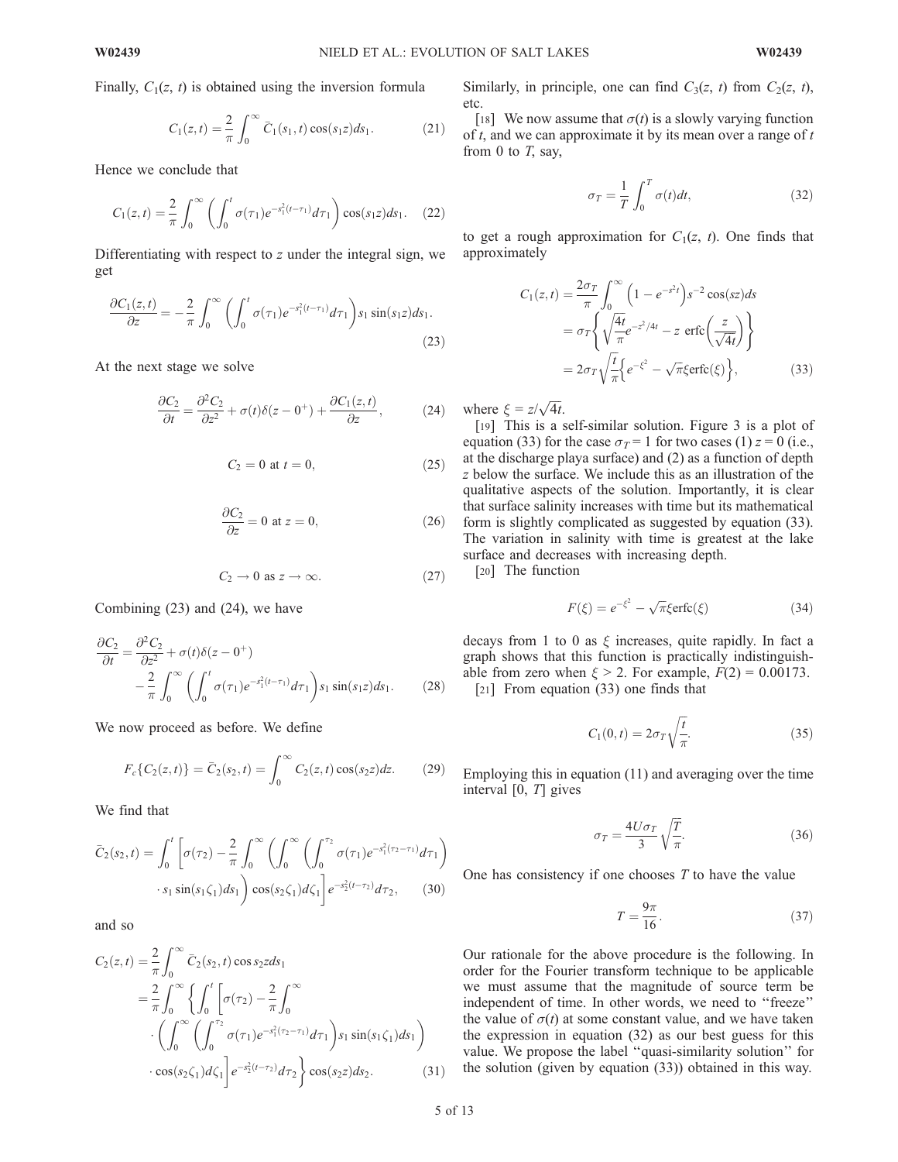Finally,  $C_1(z, t)$  is obtained using the inversion formula

$$
C_1(z,t) = \frac{2}{\pi} \int_0^\infty \bar{C}_1(s_1,t) \cos(s_1 z) ds_1.
$$
 (21)

Hence we conclude that

$$
C_1(z,t) = \frac{2}{\pi} \int_0^{\infty} \left( \int_0^t \sigma(\tau_1) e^{-s_1^2(t-\tau_1)} d\tau_1 \right) \cos(s_1 z) ds_1.
$$
 (22)

Differentiating with respect to z under the integral sign, we get

$$
\frac{\partial C_1(z,t)}{\partial z} = -\frac{2}{\pi} \int_0^\infty \left( \int_0^t \sigma(\tau_1) e^{-s_1^2(t-\tau_1)} d\tau_1 \right) s_1 \sin(s_1 z) ds_1. \tag{23}
$$

At the next stage we solve

$$
\frac{\partial C_2}{\partial t} = \frac{\partial^2 C_2}{\partial z^2} + \sigma(t)\delta(z - 0^+) + \frac{\partial C_1(z, t)}{\partial z},\tag{24}
$$

$$
C_2 = 0 \t{ at } t = 0,
$$
 (25)

$$
\frac{\partial C_2}{\partial z} = 0 \text{ at } z = 0,
$$
\n(26)

$$
C_2 \to 0 \text{ as } z \to \infty. \tag{27}
$$

Combining (23) and (24), we have

$$
\frac{\partial C_2}{\partial t} = \frac{\partial^2 C_2}{\partial z^2} + \sigma(t)\delta(z - 0^+)
$$

$$
-\frac{2}{\pi} \int_0^\infty \left( \int_0^t \sigma(\tau_1) e^{-s_1^2(t - \tau_1)} d\tau_1 \right) s_1 \sin(s_1 z) ds_1. \tag{28}
$$

We now proceed as before. We define

$$
F_c\{C_2(z,t)\} = \bar{C}_2(s_2,t) = \int_0^\infty C_2(z,t)\cos(s_2z)dz.
$$
 (29)

We find that

$$
\bar{C}_{2}(s_{2},t) = \int_{0}^{t} \left[ \sigma(\tau_{2}) - \frac{2}{\pi} \int_{0}^{\infty} \left( \int_{0}^{\infty} \left( \int_{0}^{\tau_{2}} \sigma(\tau_{1}) e^{-s_{1}^{2}(\tau_{2}-\tau_{1})} d\tau_{1} \right) \right. \\ \left. \cdot s_{1} \sin(s_{1}\zeta_{1}) ds_{1} \right) \cos(s_{2}\zeta_{1}) d\zeta_{1} \right] e^{-s_{2}^{2}(t-\tau_{2})} d\tau_{2}, \tag{30}
$$

and so

$$
C_2(z,t) = \frac{2}{\pi} \int_0^\infty \bar{C}_2(s_2, t) \cos s_2 z ds_1
$$
  
=  $\frac{2}{\pi} \int_0^\infty \left\{ \int_0^t \left[ \sigma(\tau_2) - \frac{2}{\pi} \int_0^\infty \right. \cdot \left( \int_0^\infty \left( \int_0^{\tau_2} \sigma(\tau_1) e^{-s_1^2(\tau_2 - \tau_1)} d\tau_1 \right) s_1 \sin(s_1 \zeta_1) ds_1 \right. \right. \cdot \cos(s_2 \zeta_1) d\zeta_1 \left. \left| e^{-s_2^2(t-\tau_2)} d\tau_2 \right. \right\} \cos(s_2 z) ds_2.$  (31)

Similarly, in principle, one can find  $C_3(z, t)$  from  $C_2(z, t)$ , etc.

[18] We now assume that  $\sigma(t)$  is a slowly varying function of  $t$ , and we can approximate it by its mean over a range of  $t$ from 0 to  $T$ , say,

$$
\sigma_T = \frac{1}{T} \int_0^T \sigma(t) dt,
$$
\n(32)

to get a rough approximation for  $C_1(z, t)$ . One finds that approximately

$$
C_1(z,t) = \frac{2\sigma_T}{\pi} \int_0^\infty \left(1 - e^{-s^2t}\right) s^{-2} \cos(sz) ds
$$
  
=  $\sigma_T \left\{ \sqrt{\frac{4t}{\pi}} e^{-z^2/4t} - z \text{ erfc}\left(\frac{z}{\sqrt{4t}}\right) \right\}$   
=  $2\sigma_T \sqrt{\frac{t}{\pi}} \left\{ e^{-\xi^2} - \sqrt{\pi} \xi \text{erfc}(\xi) \right\},$  (33)

where  $\xi = z/\sqrt{4t}$ .

[19] This is a self-similar solution. Figure 3 is a plot of equation (33) for the case  $\sigma_T = 1$  for two cases (1)  $z = 0$  (i.e., at the discharge playa surface) and (2) as a function of depth z below the surface. We include this as an illustration of the qualitative aspects of the solution. Importantly, it is clear that surface salinity increases with time but its mathematical form is slightly complicated as suggested by equation (33). The variation in salinity with time is greatest at the lake surface and decreases with increasing depth.

[20] The function

$$
F(\xi) = e^{-\xi^2} - \sqrt{\pi} \xi \text{erfc}(\xi)
$$
 (34)

decays from 1 to 0 as  $\xi$  increases, quite rapidly. In fact a graph shows that this function is practically indistinguishable from zero when  $\xi > 2$ . For example,  $F(2) = 0.00173$ . [21] From equation (33) one finds that

$$
C_1(0,t) = 2\sigma_T \sqrt{\frac{t}{\pi}}.\tag{35}
$$

Employing this in equation (11) and averaging over the time interval [0, T] gives

$$
\sigma_T = \frac{4U\sigma_T}{3} \sqrt{\frac{T}{\pi}}.
$$
\n(36)

One has consistency if one chooses  $T$  to have the value

$$
T = \frac{9\pi}{16}.\tag{37}
$$

Our rationale for the above procedure is the following. In order for the Fourier transform technique to be applicable we must assume that the magnitude of source term be independent of time. In other words, we need to ''freeze'' the value of  $\sigma(t)$  at some constant value, and we have taken the expression in equation (32) as our best guess for this value. We propose the label ''quasi-similarity solution'' for the solution (given by equation (33)) obtained in this way.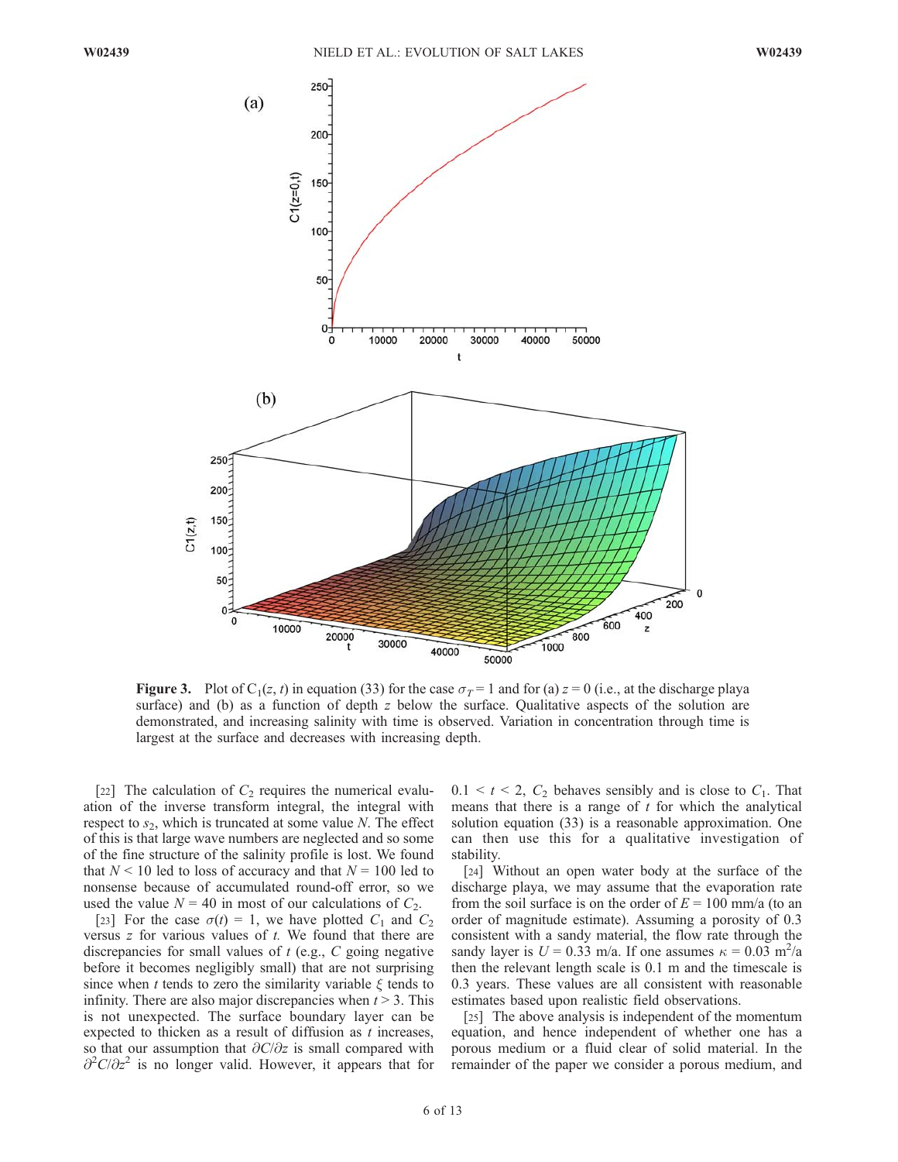

**Figure 3.** Plot of C<sub>1</sub>(z, t) in equation (33) for the case  $\sigma_T = 1$  and for (a)  $z = 0$  (i.e., at the discharge playa surface) and (b) as a function of depth  $z$  below the surface. Qualitative aspects of the solution are demonstrated, and increasing salinity with time is observed. Variation in concentration through time is largest at the surface and decreases with increasing depth.

[22] The calculation of  $C_2$  requires the numerical evaluation of the inverse transform integral, the integral with respect to  $s_2$ , which is truncated at some value N. The effect of this is that large wave numbers are neglected and so some of the fine structure of the salinity profile is lost. We found that  $N < 10$  led to loss of accuracy and that  $N = 100$  led to nonsense because of accumulated round-off error, so we used the value  $N = 40$  in most of our calculations of  $C_2$ .

[23] For the case  $\sigma(t) = 1$ , we have plotted  $C_1$  and  $C_2$ versus  $z$  for various values of  $t$ . We found that there are discrepancies for small values of  $t$  (e.g.,  $C$  going negative before it becomes negligibly small) that are not surprising since when t tends to zero the similarity variable  $\xi$  tends to infinity. There are also major discrepancies when  $t > 3$ . This is not unexpected. The surface boundary layer can be expected to thicken as a result of diffusion as  $t$  increases, so that our assumption that  $\partial C/\partial z$  is small compared with  $\partial^2 C/\partial z^2$  is no longer valid. However, it appears that for

 $0.1 \le t \le 2$ ,  $C_2$  behaves sensibly and is close to  $C_1$ . That means that there is a range of  $t$  for which the analytical solution equation (33) is a reasonable approximation. One can then use this for a qualitative investigation of stability.

[24] Without an open water body at the surface of the discharge playa, we may assume that the evaporation rate from the soil surface is on the order of  $E = 100$  mm/a (to an order of magnitude estimate). Assuming a porosity of 0.3 consistent with a sandy material, the flow rate through the sandy layer is  $U = 0.33$  m/a. If one assumes  $\kappa = 0.03$  m<sup>2</sup>/a then the relevant length scale is 0.1 m and the timescale is 0.3 years. These values are all consistent with reasonable estimates based upon realistic field observations.

[25] The above analysis is independent of the momentum equation, and hence independent of whether one has a porous medium or a fluid clear of solid material. In the remainder of the paper we consider a porous medium, and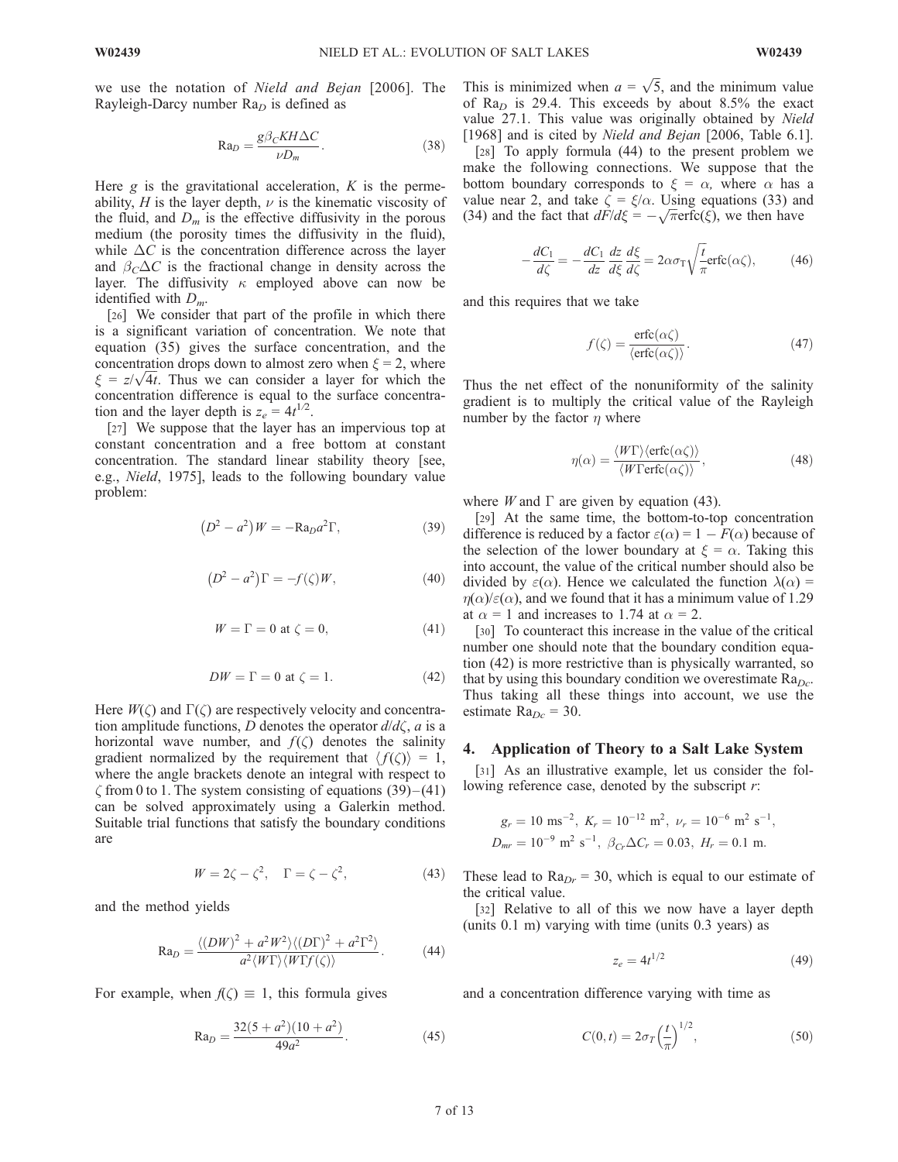we use the notation of Nield and Bejan [2006]. The Rayleigh-Darcy number  $Ra_D$  is defined as

$$
Ra_D = \frac{g\beta_C K H \Delta C}{\nu D_m}.
$$
\n(38)

Here  $g$  is the gravitational acceleration,  $K$  is the permeability,  $H$  is the layer depth,  $\nu$  is the kinematic viscosity of the fluid, and  $D_m$  is the effective diffusivity in the porous medium (the porosity times the diffusivity in the fluid), while  $\Delta C$  is the concentration difference across the layer and  $\beta_C \Delta C$  is the fractional change in density across the layer. The diffusivity  $\kappa$  employed above can now be identified with  $D_m$ .

[26] We consider that part of the profile in which there is a significant variation of concentration. We note that equation (35) gives the surface concentration, and the concentration drops down to almost zero when  $\xi = 2$ , where concentration drops down to almost zero when  $\xi = z/\sqrt{4t}$ . Thus we can consider a layer for which the concentration difference is equal to the surface concentration and the layer depth is  $z_e = 4t^{1/2}$ .

[27] We suppose that the layer has an impervious top at constant concentration and a free bottom at constant concentration. The standard linear stability theory [see, e.g., Nield, 1975], leads to the following boundary value problem:

$$
(D2 - a2)W = -RaDa2\Gamma,
$$
\n(39)

$$
(D2 - a2)\Gamma = -f(\zeta)W,
$$
 (40)

$$
W = \Gamma = 0 \text{ at } \zeta = 0,
$$
 (41)

$$
DW = \Gamma = 0 \text{ at } \zeta = 1. \tag{42}
$$

Here  $W(\zeta)$  and  $\Gamma(\zeta)$  are respectively velocity and concentration amplitude functions, D denotes the operator  $d/d\zeta$ , a is a horizontal wave number, and  $f(\zeta)$  denotes the salinity gradient normalized by the requirement that  $\langle f(\zeta) \rangle = 1$ , where the angle brackets denote an integral with respect to  $\zeta$  from 0 to 1. The system consisting of equations (39)–(41) can be solved approximately using a Galerkin method. Suitable trial functions that satisfy the boundary conditions are

$$
W = 2\zeta - \zeta^2, \quad \Gamma = \zeta - \zeta^2,\tag{43}
$$

and the method yields

$$
Ra_D = \frac{\langle (DW)^2 + a^2W^2 \rangle \langle (D\Gamma)^2 + a^2\Gamma^2 \rangle}{a^2 \langle W\Gamma \rangle \langle W\Gamma f(\zeta) \rangle}.
$$
 (44)

For example, when  $f(\zeta) \equiv 1$ , this formula gives

$$
Ra_D = \frac{32(5+a^2)(10+a^2)}{49a^2}.
$$
 (45)

This is minimized when  $a = \sqrt{5}$ , and the minimum value of Ra<sub>D</sub> is 29.4. This exceeds by about 8.5% the exact value 27.1. This value was originally obtained by Nield [1968] and is cited by Nield and Bejan [2006, Table 6.1]. [28] To apply formula (44) to the present problem we make the following connections. We suppose that the bottom boundary corresponds to  $\xi = \alpha$ , where  $\alpha$  has a value near 2, and take  $\zeta = \xi/\alpha$ . Using equations (33) and value hear 2, and take  $\zeta - \zeta/\alpha$ . Using equations (55) and (34) and the fact that  $dF/d\zeta = -\sqrt{\pi}erfc(\zeta)$ , we then have

$$
-\frac{dC_1}{d\zeta} = -\frac{dC_1}{dz}\frac{dz}{d\xi}\frac{d\xi}{d\zeta} = 2\alpha\sigma_{\rm T}\sqrt{\frac{t}{\pi}}\text{erfc}(\alpha\zeta),\tag{46}
$$

and this requires that we take

$$
f(\zeta) = \frac{\text{erfc}(\alpha \zeta)}{\langle \text{erfc}(\alpha \zeta) \rangle}.
$$
 (47)

Thus the net effect of the nonuniformity of the salinity gradient is to multiply the critical value of the Rayleigh number by the factor  $\eta$  where

$$
\eta(\alpha) = \frac{\langle W\Gamma \rangle \langle \text{erfc}(\alpha \zeta) \rangle}{\langle W\Gamma \text{erfc}(\alpha \zeta) \rangle},\tag{48}
$$

where *W* and  $\Gamma$  are given by equation (43).

[29] At the same time, the bottom-to-top concentration difference is reduced by a factor  $\varepsilon(\alpha) = 1 - F(\alpha)$  because of the selection of the lower boundary at  $\xi = \alpha$ . Taking this into account, the value of the critical number should also be divided by  $\varepsilon(\alpha)$ . Hence we calculated the function  $\lambda(\alpha)$  =  $\eta(\alpha)/\epsilon(\alpha)$ , and we found that it has a minimum value of 1.29 at  $\alpha = 1$  and increases to 1.74 at  $\alpha = 2$ .

[30] To counteract this increase in the value of the critical number one should note that the boundary condition equation (42) is more restrictive than is physically warranted, so that by using this boundary condition we overestimate  $Ra_{Dc}$ . Thus taking all these things into account, we use the estimate  $Ra_{De} = 30$ .

## 4. Application of Theory to a Salt Lake System

[31] As an illustrative example, let us consider the following reference case, denoted by the subscript r:

$$
g_r = 10 \text{ ms}^{-2}
$$
,  $K_r = 10^{-12} \text{ m}^2$ ,  $\nu_r = 10^{-6} \text{ m}^2 \text{ s}^{-1}$ ,  
 $D_{mr} = 10^{-9} \text{ m}^2 \text{ s}^{-1}$ ,  $\beta_{Cr} \Delta C_r = 0.03$ ,  $H_r = 0.1 \text{ m}$ .

These lead to  $Ra_{Dr} = 30$ , which is equal to our estimate of the critical value.

[32] Relative to all of this we now have a layer depth (units 0.1 m) varying with time (units 0.3 years) as

$$
z_e = 4t^{1/2} \tag{49}
$$

and a concentration difference varying with time as

$$
C(0, t) = 2\sigma_T \left(\frac{t}{\pi}\right)^{1/2},
$$
\n(50)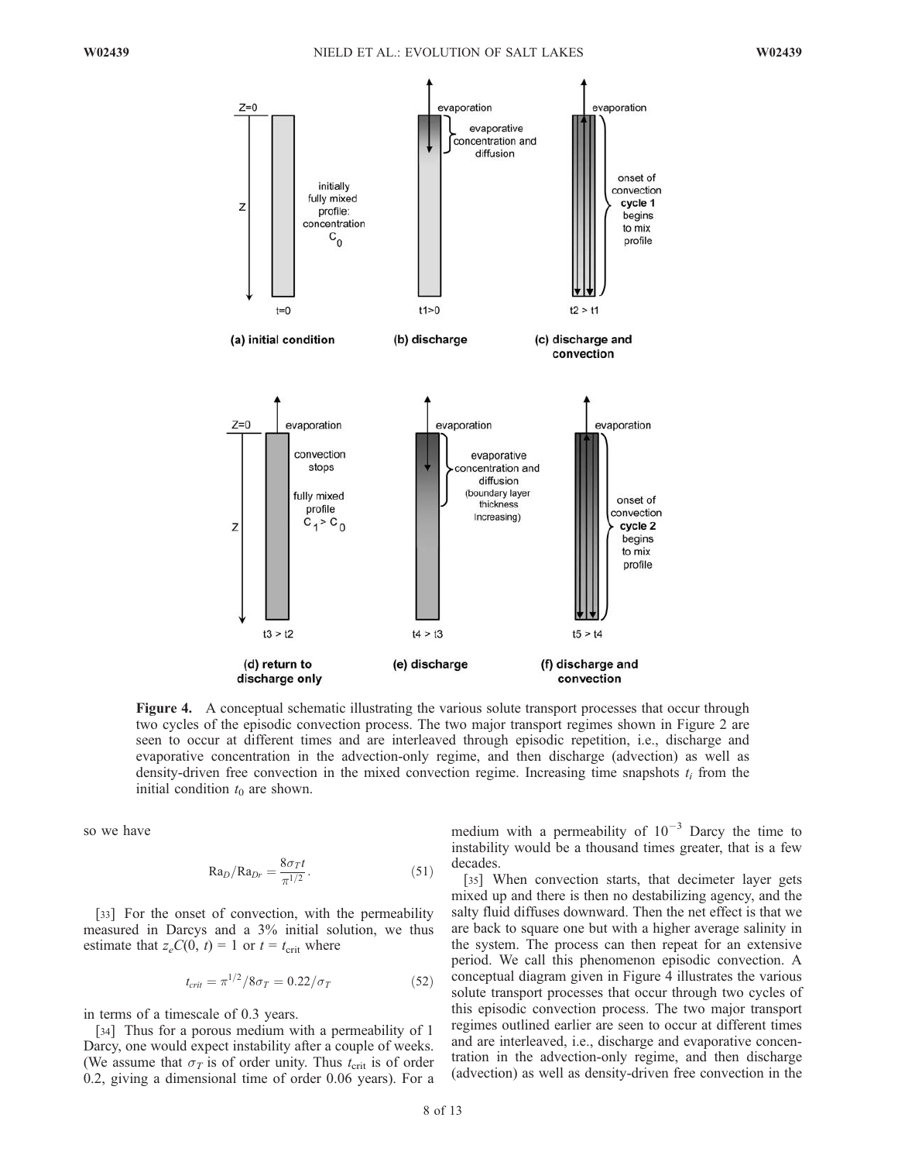

Figure 4. A conceptual schematic illustrating the various solute transport processes that occur through two cycles of the episodic convection process. The two major transport regimes shown in Figure 2 are seen to occur at different times and are interleaved through episodic repetition, i.e., discharge and evaporative concentration in the advection-only regime, and then discharge (advection) as well as density-driven free convection in the mixed convection regime. Increasing time snapshots  $t_i$  from the initial condition  $t_0$  are shown.

so we have

$$
\text{Ra}_D/\text{Ra}_{Dr} = \frac{8\sigma_T t}{\pi^{1/2}}.\tag{51}
$$

[33] For the onset of convection, with the permeability measured in Darcys and a 3% initial solution, we thus estimate that  $z_eC(0, t) = 1$  or  $t = t_{crit}$  where

$$
t_{crit} = \pi^{1/2} / 8\sigma_T = 0.22 / \sigma_T \tag{52}
$$

in terms of a timescale of 0.3 years.

[34] Thus for a porous medium with a permeability of 1 Darcy, one would expect instability after a couple of weeks. (We assume that  $\sigma_T$  is of order unity. Thus  $t_{\text{crit}}$  is of order 0.2, giving a dimensional time of order 0.06 years). For a medium with a permeability of  $10^{-3}$  Darcy the time to instability would be a thousand times greater, that is a few decades.

[35] When convection starts, that decimeter layer gets mixed up and there is then no destabilizing agency, and the salty fluid diffuses downward. Then the net effect is that we are back to square one but with a higher average salinity in the system. The process can then repeat for an extensive period. We call this phenomenon episodic convection. A conceptual diagram given in Figure 4 illustrates the various solute transport processes that occur through two cycles of this episodic convection process. The two major transport regimes outlined earlier are seen to occur at different times and are interleaved, i.e., discharge and evaporative concentration in the advection-only regime, and then discharge (advection) as well as density-driven free convection in the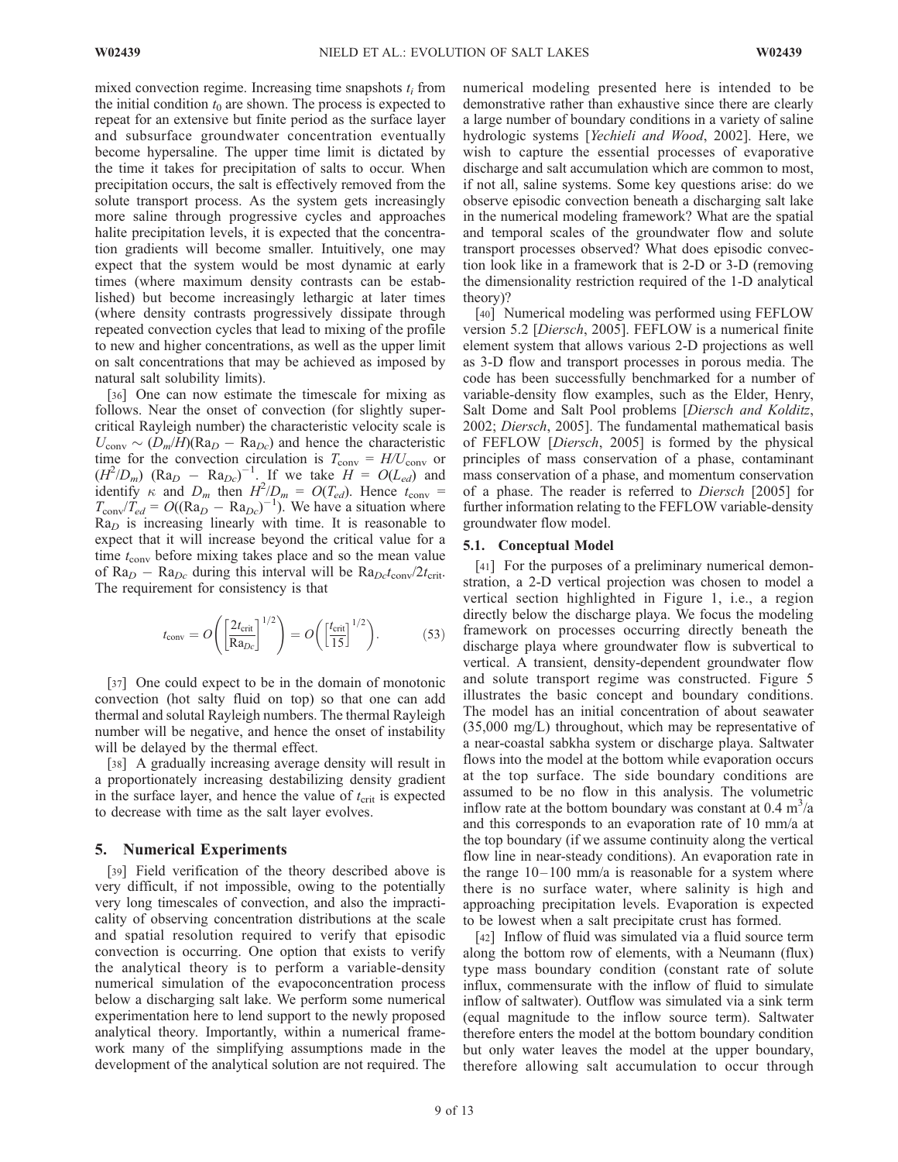mixed convection regime. Increasing time snapshots  $t_i$  from the initial condition  $t_0$  are shown. The process is expected to repeat for an extensive but finite period as the surface layer and subsurface groundwater concentration eventually become hypersaline. The upper time limit is dictated by the time it takes for precipitation of salts to occur. When precipitation occurs, the salt is effectively removed from the solute transport process. As the system gets increasingly more saline through progressive cycles and approaches halite precipitation levels, it is expected that the concentration gradients will become smaller. Intuitively, one may expect that the system would be most dynamic at early times (where maximum density contrasts can be established) but become increasingly lethargic at later times (where density contrasts progressively dissipate through repeated convection cycles that lead to mixing of the profile to new and higher concentrations, as well as the upper limit on salt concentrations that may be achieved as imposed by natural salt solubility limits).

[36] One can now estimate the timescale for mixing as follows. Near the onset of convection (for slightly supercritical Rayleigh number) the characteristic velocity scale is  $U_{\text{conv}} \sim (D_m/H)(\text{Ra}_D - \text{Ra}_{Dc})$  and hence the characteristic time for the convection circulation is  $T_{\text{conv}} = H/U_{\text{conv}}$  or  $(H^2/D_m)$   $(Ra_D - Ra_{Dc})^{-1}$ . If we take  $H = O(L_{ed})$  and identify  $\kappa$  and  $D_m$  then  $H^2/D_m = O(T_{ed})$ . Hence  $t_{\text{conv}} =$  $T_{\text{conv}}/\tilde{T}_{ed} = O((\text{Ra}_D - \text{Ra}_{Dc})^{-1})$ . We have a situation where  $Ra_D$  is increasing linearly with time. It is reasonable to expect that it will increase beyond the critical value for a time  $t_{\text{conv}}$  before mixing takes place and so the mean value of Ra<sub>D</sub> – Ra<sub>Dc</sub> during this interval will be  $Ra_{Dc}t_{conv}/2t_{crit}$ . The requirement for consistency is that

$$
t_{\text{conv}} = O\left(\left[\frac{2t_{\text{crit}}}{\text{Ra}_{Dc}}\right]^{1/2}\right) = O\left(\left[\frac{t_{\text{crit}}}{15}\right]^{1/2}\right). \tag{53}
$$

[37] One could expect to be in the domain of monotonic convection (hot salty fluid on top) so that one can add thermal and solutal Rayleigh numbers. The thermal Rayleigh number will be negative, and hence the onset of instability will be delayed by the thermal effect.

[38] A gradually increasing average density will result in a proportionately increasing destabilizing density gradient in the surface layer, and hence the value of  $t_{\text{crit}}$  is expected to decrease with time as the salt layer evolves.

## 5. Numerical Experiments

[39] Field verification of the theory described above is very difficult, if not impossible, owing to the potentially very long timescales of convection, and also the impracticality of observing concentration distributions at the scale and spatial resolution required to verify that episodic convection is occurring. One option that exists to verify the analytical theory is to perform a variable-density numerical simulation of the evapoconcentration process below a discharging salt lake. We perform some numerical experimentation here to lend support to the newly proposed analytical theory. Importantly, within a numerical framework many of the simplifying assumptions made in the development of the analytical solution are not required. The

numerical modeling presented here is intended to be demonstrative rather than exhaustive since there are clearly a large number of boundary conditions in a variety of saline hydrologic systems [Yechieli and Wood, 2002]. Here, we wish to capture the essential processes of evaporative discharge and salt accumulation which are common to most, if not all, saline systems. Some key questions arise: do we observe episodic convection beneath a discharging salt lake in the numerical modeling framework? What are the spatial and temporal scales of the groundwater flow and solute transport processes observed? What does episodic convection look like in a framework that is 2-D or 3-D (removing the dimensionality restriction required of the 1-D analytical theory)?

[40] Numerical modeling was performed using FEFLOW version 5.2 [Diersch, 2005]. FEFLOW is a numerical finite element system that allows various 2-D projections as well as 3-D flow and transport processes in porous media. The code has been successfully benchmarked for a number of variable-density flow examples, such as the Elder, Henry, Salt Dome and Salt Pool problems [Diersch and Kolditz, 2002; Diersch, 2005]. The fundamental mathematical basis of FEFLOW [Diersch, 2005] is formed by the physical principles of mass conservation of a phase, contaminant mass conservation of a phase, and momentum conservation of a phase. The reader is referred to Diersch [2005] for further information relating to the FEFLOW variable-density groundwater flow model.

## 5.1. Conceptual Model

[41] For the purposes of a preliminary numerical demonstration, a 2-D vertical projection was chosen to model a vertical section highlighted in Figure 1, i.e., a region directly below the discharge playa. We focus the modeling framework on processes occurring directly beneath the discharge playa where groundwater flow is subvertical to vertical. A transient, density-dependent groundwater flow and solute transport regime was constructed. Figure 5 illustrates the basic concept and boundary conditions. The model has an initial concentration of about seawater (35,000 mg/L) throughout, which may be representative of a near-coastal sabkha system or discharge playa. Saltwater flows into the model at the bottom while evaporation occurs at the top surface. The side boundary conditions are assumed to be no flow in this analysis. The volumetric inflow rate at the bottom boundary was constant at  $0.4 \text{ m}^3/\text{a}$ and this corresponds to an evaporation rate of 10 mm/a at the top boundary (if we assume continuity along the vertical flow line in near-steady conditions). An evaporation rate in the range  $10-100$  mm/a is reasonable for a system where there is no surface water, where salinity is high and approaching precipitation levels. Evaporation is expected to be lowest when a salt precipitate crust has formed.

[42] Inflow of fluid was simulated via a fluid source term along the bottom row of elements, with a Neumann (flux) type mass boundary condition (constant rate of solute influx, commensurate with the inflow of fluid to simulate inflow of saltwater). Outflow was simulated via a sink term (equal magnitude to the inflow source term). Saltwater therefore enters the model at the bottom boundary condition but only water leaves the model at the upper boundary, therefore allowing salt accumulation to occur through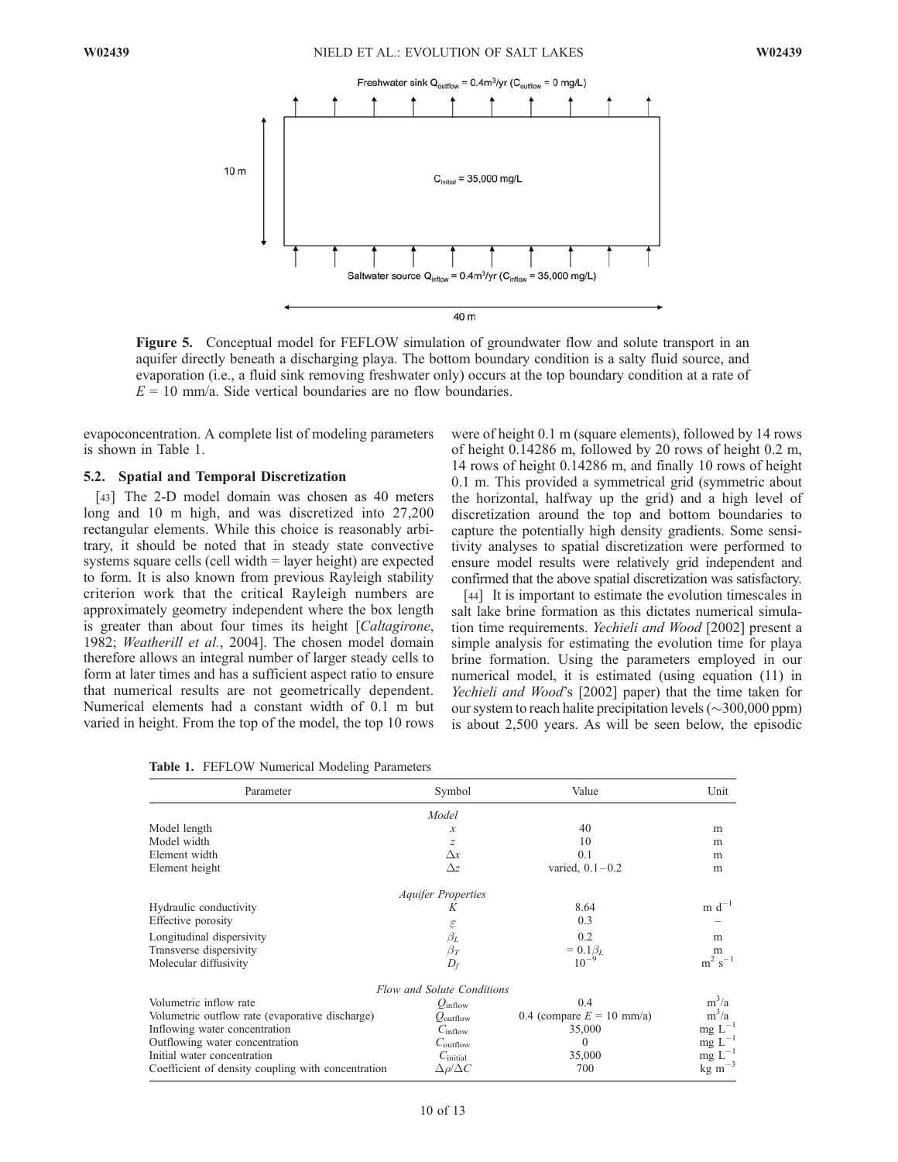

Figure 5. Conceptual model for FEFLOW simulation of groundwater flow and solute transport in an aquifer directly beneath a discharging playa. The bottom boundary condition is a salty fluid source, and evaporation (i.e., a fluid sink removing freshwater only) occurs at the top boundary condition at a rate of  $E = 10$  mm/a. Side vertical boundaries are no flow boundaries.

evapoconcentration. A complete list of modeling parameters is shown in Table 1.

## 5.2. Spatial and Temporal Discretization

[43] The 2-D model domain was chosen as 40 meters long and 10 m high, and was discretized into 27,200 rectangular elements. While this choice is reasonably arbitrary, it should be noted that in steady state convective systems square cells (cell width = layer height) are expected to form. It is also known from previous Rayleigh stability criterion work that the critical Rayleigh numbers are approximately geometry independent where the box length is greater than about four times its height [Caltagirone, 1982; Weatherill et al., 2004]. The chosen model domain therefore allows an integral number of larger steady cells to form at later times and has a sufficient aspect ratio to ensure that numerical results are not geometrically dependent. Numerical elements had a constant width of 0.1 m but varied in height. From the top of the model, the top 10 rows

were of height 0.1 m (square elements), followed by 14 rows of height 0.14286 m, followed by 20 rows of height 0.2 m, 14 rows of height 0.14286 m, and finally 10 rows of height 0.1 m. This provided a symmetrical grid (symmetric about the horizontal, halfway up the grid) and a high level of discretization around the top and bottom boundaries to capture the potentially high density gradients. Some sensitivity analyses to spatial discretization were performed to ensure model results were relatively grid independent and confirmed that the above spatial discretization was satisfactory.

[44] It is important to estimate the evolution timescales in salt lake brine formation as this dictates numerical simulation time requirements. Yechieli and Wood [2002] present a simple analysis for estimating the evolution time for playa brine formation. Using the parameters employed in our numerical model, it is estimated (using equation (11) in Yechieli and Wood's [2002] paper) that the time taken for our system to reach halite precipitation levels ( $\sim$ 300,000 ppm) is about 2,500 years. As will be seen below, the episodic

| Parameter                                          | Symbol                     | Value                       | Unit                  |
|----------------------------------------------------|----------------------------|-----------------------------|-----------------------|
|                                                    | Model                      |                             |                       |
| Model length                                       | $\mathcal{X}$              | 40                          | m                     |
| Model width                                        | $\boldsymbol{Z}$           | 10                          | m                     |
| Element width                                      | $\Delta x$                 | 0.1                         | m                     |
| Element height                                     | $\Delta z$                 | varied, $0.1 - 0.2$         | m                     |
|                                                    | <b>Aquifer Properties</b>  |                             |                       |
| Hydraulic conductivity                             | K                          | 8.64                        | $m d^{-1}$            |
| Effective porosity                                 | $\varepsilon$              | 0.3                         |                       |
| Longitudinal dispersivity                          | $\beta_L$                  | 0.2                         | m                     |
| Transverse dispersivity                            | $\beta_T$                  | $= 0.1 \beta_L$             | m                     |
| Molecular diffusivity                              | $D_f$                      | $10^{-9}$                   | $m^2$ s <sup>-1</sup> |
|                                                    | Flow and Solute Conditions |                             |                       |
| Volumetric inflow rate                             | $Q_{\text{inflow}}$        | 0.4                         | $m^3/a$               |
| Volumetric outflow rate (evaporative discharge)    | $Q_{\text{outflow}}$       | 0.4 (compare $E = 10$ mm/a) | $m^3/a$               |
| Inflowing water concentration                      | $C_{\text{inflow}}$        | 35,000                      | $mg L^{-1}$           |
| Outflowing water concentration                     | $C_{\rm outflow}$          | $\theta$                    | $mg L^{-1}$           |
| Initial water concentration                        | $C_{\text{initial}}$       | 35,000                      | $mg L^{-1}$           |
| Coefficient of density coupling with concentration | $\Delta \rho / \Delta C$   | 700                         | $kg \, \text{m}^{-3}$ |

Table 1. FEFLOW Numerical Modeling Parameters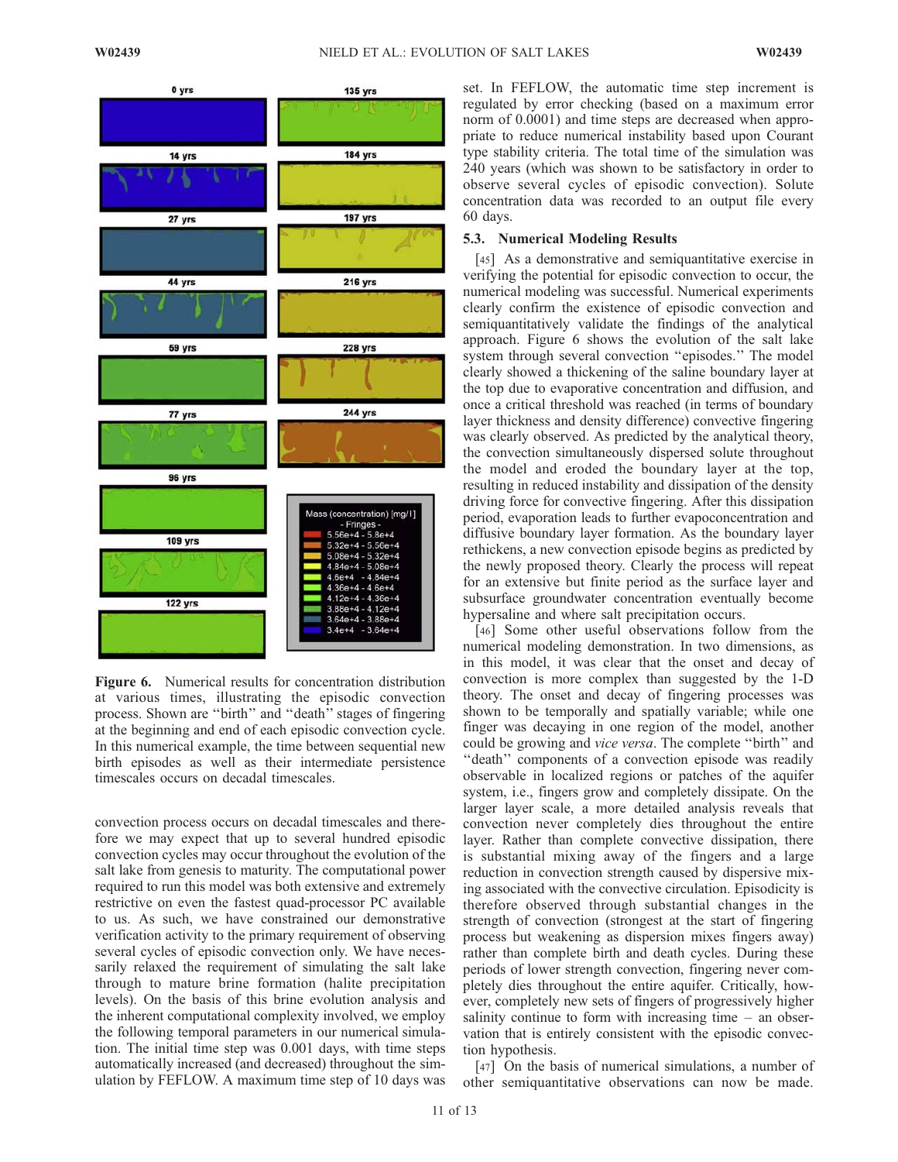

Figure 6. Numerical results for concentration distribution at various times, illustrating the episodic convection process. Shown are ''birth'' and ''death'' stages of fingering at the beginning and end of each episodic convection cycle. In this numerical example, the time between sequential new birth episodes as well as their intermediate persistence timescales occurs on decadal timescales.

convection process occurs on decadal timescales and therefore we may expect that up to several hundred episodic convection cycles may occur throughout the evolution of the salt lake from genesis to maturity. The computational power required to run this model was both extensive and extremely restrictive on even the fastest quad-processor PC available to us. As such, we have constrained our demonstrative verification activity to the primary requirement of observing several cycles of episodic convection only. We have necessarily relaxed the requirement of simulating the salt lake through to mature brine formation (halite precipitation levels). On the basis of this brine evolution analysis and the inherent computational complexity involved, we employ the following temporal parameters in our numerical simulation. The initial time step was 0.001 days, with time steps automatically increased (and decreased) throughout the simulation by FEFLOW. A maximum time step of 10 days was

set. In FEFLOW, the automatic time step increment is regulated by error checking (based on a maximum error norm of 0.0001) and time steps are decreased when appropriate to reduce numerical instability based upon Courant type stability criteria. The total time of the simulation was 240 years (which was shown to be satisfactory in order to observe several cycles of episodic convection). Solute concentration data was recorded to an output file every 60 days.

## 5.3. Numerical Modeling Results

[45] As a demonstrative and semiquantitative exercise in verifying the potential for episodic convection to occur, the numerical modeling was successful. Numerical experiments clearly confirm the existence of episodic convection and semiquantitatively validate the findings of the analytical approach. Figure 6 shows the evolution of the salt lake system through several convection ''episodes.'' The model clearly showed a thickening of the saline boundary layer at the top due to evaporative concentration and diffusion, and once a critical threshold was reached (in terms of boundary layer thickness and density difference) convective fingering was clearly observed. As predicted by the analytical theory, the convection simultaneously dispersed solute throughout the model and eroded the boundary layer at the top, resulting in reduced instability and dissipation of the density driving force for convective fingering. After this dissipation period, evaporation leads to further evapoconcentration and diffusive boundary layer formation. As the boundary layer rethickens, a new convection episode begins as predicted by the newly proposed theory. Clearly the process will repeat for an extensive but finite period as the surface layer and subsurface groundwater concentration eventually become hypersaline and where salt precipitation occurs.

[46] Some other useful observations follow from the numerical modeling demonstration. In two dimensions, as in this model, it was clear that the onset and decay of convection is more complex than suggested by the 1-D theory. The onset and decay of fingering processes was shown to be temporally and spatially variable; while one finger was decaying in one region of the model, another could be growing and vice versa. The complete ''birth'' and ''death'' components of a convection episode was readily observable in localized regions or patches of the aquifer system, i.e., fingers grow and completely dissipate. On the larger layer scale, a more detailed analysis reveals that convection never completely dies throughout the entire layer. Rather than complete convective dissipation, there is substantial mixing away of the fingers and a large reduction in convection strength caused by dispersive mixing associated with the convective circulation. Episodicity is therefore observed through substantial changes in the strength of convection (strongest at the start of fingering process but weakening as dispersion mixes fingers away) rather than complete birth and death cycles. During these periods of lower strength convection, fingering never completely dies throughout the entire aquifer. Critically, however, completely new sets of fingers of progressively higher salinity continue to form with increasing time – an observation that is entirely consistent with the episodic convection hypothesis.

[47] On the basis of numerical simulations, a number of other semiquantitative observations can now be made.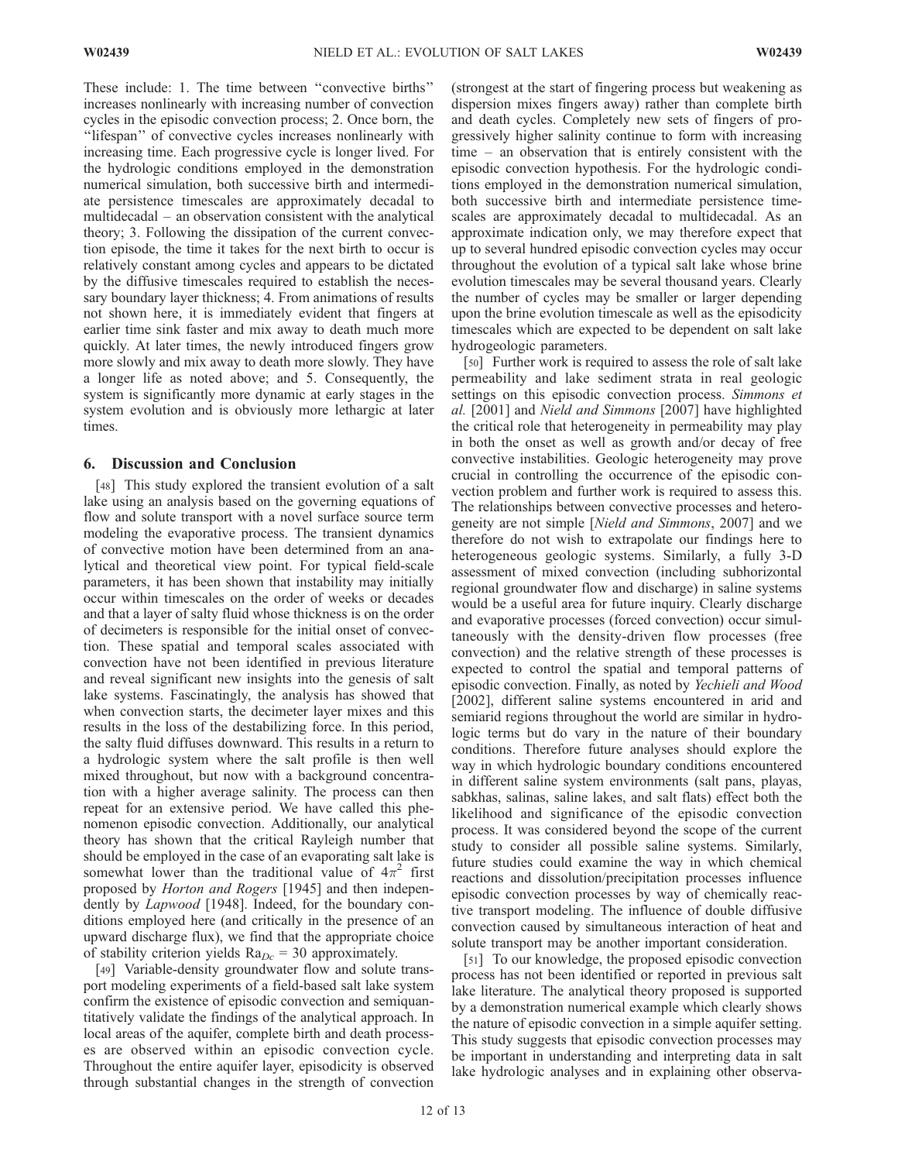These include: 1. The time between ''convective births'' increases nonlinearly with increasing number of convection cycles in the episodic convection process; 2. Once born, the ''lifespan'' of convective cycles increases nonlinearly with increasing time. Each progressive cycle is longer lived. For the hydrologic conditions employed in the demonstration numerical simulation, both successive birth and intermediate persistence timescales are approximately decadal to multidecadal – an observation consistent with the analytical theory; 3. Following the dissipation of the current convection episode, the time it takes for the next birth to occur is relatively constant among cycles and appears to be dictated by the diffusive timescales required to establish the necessary boundary layer thickness; 4. From animations of results not shown here, it is immediately evident that fingers at earlier time sink faster and mix away to death much more quickly. At later times, the newly introduced fingers grow more slowly and mix away to death more slowly. They have a longer life as noted above; and 5. Consequently, the system is significantly more dynamic at early stages in the system evolution and is obviously more lethargic at later times.

## 6. Discussion and Conclusion

[48] This study explored the transient evolution of a salt lake using an analysis based on the governing equations of flow and solute transport with a novel surface source term modeling the evaporative process. The transient dynamics of convective motion have been determined from an analytical and theoretical view point. For typical field-scale parameters, it has been shown that instability may initially occur within timescales on the order of weeks or decades and that a layer of salty fluid whose thickness is on the order of decimeters is responsible for the initial onset of convection. These spatial and temporal scales associated with convection have not been identified in previous literature and reveal significant new insights into the genesis of salt lake systems. Fascinatingly, the analysis has showed that when convection starts, the decimeter layer mixes and this results in the loss of the destabilizing force. In this period, the salty fluid diffuses downward. This results in a return to a hydrologic system where the salt profile is then well mixed throughout, but now with a background concentration with a higher average salinity. The process can then repeat for an extensive period. We have called this phenomenon episodic convection. Additionally, our analytical theory has shown that the critical Rayleigh number that should be employed in the case of an evaporating salt lake is somewhat lower than the traditional value of  $4\pi^2$  first proposed by Horton and Rogers [1945] and then independently by *Lapwood* [1948]. Indeed, for the boundary conditions employed here (and critically in the presence of an upward discharge flux), we find that the appropriate choice of stability criterion yields  $Ra_{Dc} = 30$  approximately.

[49] Variable-density groundwater flow and solute transport modeling experiments of a field-based salt lake system confirm the existence of episodic convection and semiquantitatively validate the findings of the analytical approach. In local areas of the aquifer, complete birth and death processes are observed within an episodic convection cycle. Throughout the entire aquifer layer, episodicity is observed through substantial changes in the strength of convection

(strongest at the start of fingering process but weakening as dispersion mixes fingers away) rather than complete birth and death cycles. Completely new sets of fingers of progressively higher salinity continue to form with increasing time – an observation that is entirely consistent with the episodic convection hypothesis. For the hydrologic conditions employed in the demonstration numerical simulation, both successive birth and intermediate persistence timescales are approximately decadal to multidecadal. As an approximate indication only, we may therefore expect that up to several hundred episodic convection cycles may occur throughout the evolution of a typical salt lake whose brine evolution timescales may be several thousand years. Clearly the number of cycles may be smaller or larger depending upon the brine evolution timescale as well as the episodicity timescales which are expected to be dependent on salt lake hydrogeologic parameters.

[50] Further work is required to assess the role of salt lake permeability and lake sediment strata in real geologic settings on this episodic convection process. Simmons et al. [2001] and Nield and Simmons [2007] have highlighted the critical role that heterogeneity in permeability may play in both the onset as well as growth and/or decay of free convective instabilities. Geologic heterogeneity may prove crucial in controlling the occurrence of the episodic convection problem and further work is required to assess this. The relationships between convective processes and heterogeneity are not simple [Nield and Simmons, 2007] and we therefore do not wish to extrapolate our findings here to heterogeneous geologic systems. Similarly, a fully 3-D assessment of mixed convection (including subhorizontal regional groundwater flow and discharge) in saline systems would be a useful area for future inquiry. Clearly discharge and evaporative processes (forced convection) occur simultaneously with the density-driven flow processes (free convection) and the relative strength of these processes is expected to control the spatial and temporal patterns of episodic convection. Finally, as noted by Yechieli and Wood [2002], different saline systems encountered in arid and semiarid regions throughout the world are similar in hydrologic terms but do vary in the nature of their boundary conditions. Therefore future analyses should explore the way in which hydrologic boundary conditions encountered in different saline system environments (salt pans, playas, sabkhas, salinas, saline lakes, and salt flats) effect both the likelihood and significance of the episodic convection process. It was considered beyond the scope of the current study to consider all possible saline systems. Similarly, future studies could examine the way in which chemical reactions and dissolution/precipitation processes influence episodic convection processes by way of chemically reactive transport modeling. The influence of double diffusive convection caused by simultaneous interaction of heat and solute transport may be another important consideration.

[51] To our knowledge, the proposed episodic convection process has not been identified or reported in previous salt lake literature. The analytical theory proposed is supported by a demonstration numerical example which clearly shows the nature of episodic convection in a simple aquifer setting. This study suggests that episodic convection processes may be important in understanding and interpreting data in salt lake hydrologic analyses and in explaining other observa